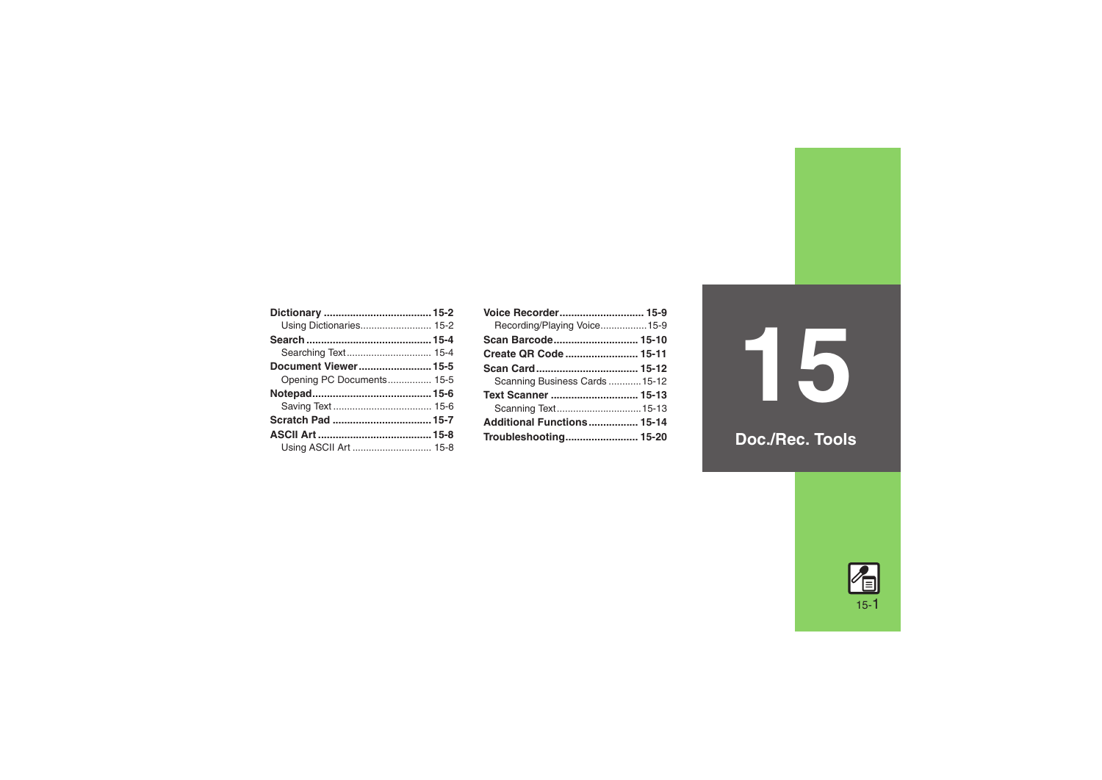| Using Dictionaries 15-2   |
|---------------------------|
|                           |
|                           |
| Document Viewer15-5       |
| Opening PC Documents 15-5 |
|                           |
|                           |
|                           |
|                           |
|                           |
|                           |

| Voice Recorder 15-9            |  |
|--------------------------------|--|
| Recording/Playing Voice15-9    |  |
|                                |  |
| Create QR Code  15-11          |  |
|                                |  |
| Scanning Business Cards  15-12 |  |
| Text Scanner  15-13            |  |
| Scanning Text 15-13            |  |
| Additional Functions 15-14     |  |
|                                |  |

**15**

**Doc./Rec. Tools**

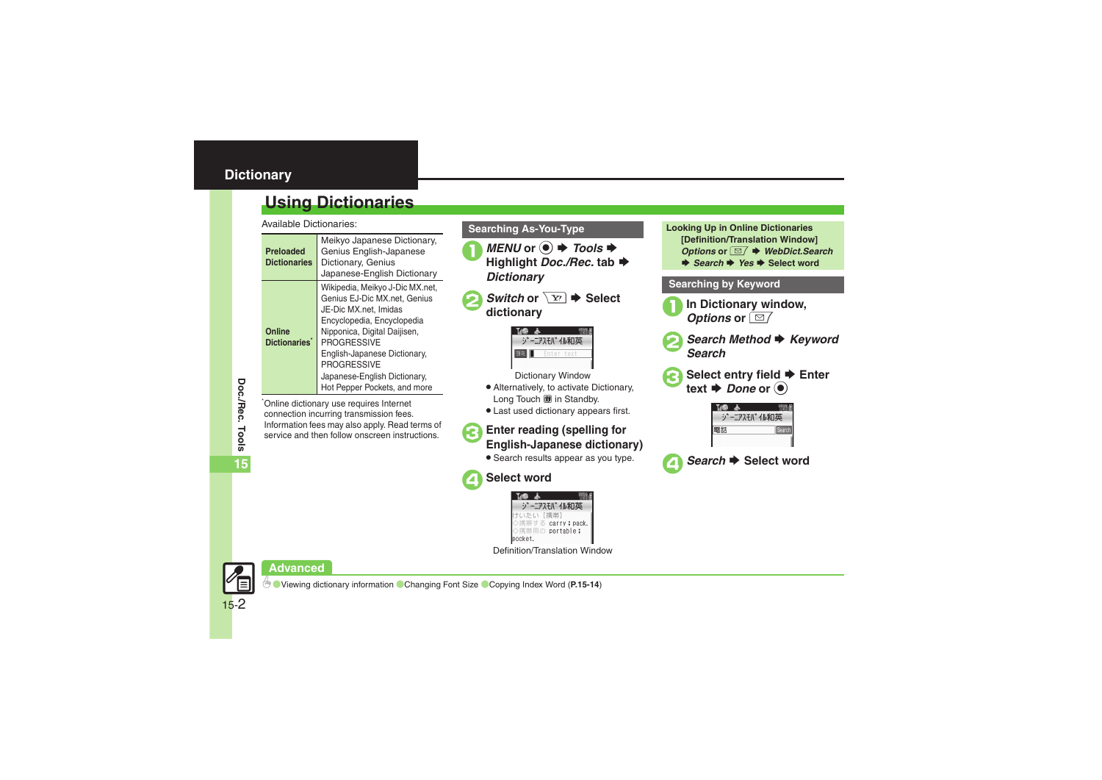## <span id="page-1-0"></span>**Dictionary**

## <span id="page-1-1"></span>**Using Dictionaries**

Available Dictionaries:

| Preloaded<br><b>Dictionaries</b> | Meikyo Japanese Dictionary,<br>Genius English-Japanese<br>Dictionary, Genius<br>Japanese-English Dictionary                                                                                                                                                                                        |
|----------------------------------|----------------------------------------------------------------------------------------------------------------------------------------------------------------------------------------------------------------------------------------------------------------------------------------------------|
| Online<br><b>Dictionaries</b>    | Wikipedia, Meikyo J-Dic MX.net,<br>Genius EJ-Dic MX.net, Genius<br>JE-Dic MX.net. Imidas<br>Encyclopedia, Encyclopedia<br>Nipponica, Digital Daijisen,<br><b>PROGRESSIVE</b><br>English-Japanese Dictionary,<br><b>PROGRESSIVE</b><br>Japanese-English Dictionary,<br>Hot Pepper Pockets, and more |

\*Online dictionary use requires Internet connection incurring transmission fees. Information fees may also apply. Read terms of service and then follow onscreen instructions.

- *MENU* or *Tools* $\blacklozenge$  Highlight *Doc./Rec.* tab  $\blacklozenge$ *Dictionary*
- *Switch* or  $\sqrt{Y}$   $\rightarrow$  Select dictionary



Dictionary Window

- . Alternatively, to activate Dictionary, Long Touch 6 in Standby.
- . Last used dictionary appears first.

# <sup>3</sup>**Enter reading (spelling for English-Japanese dictionary)**

**•** Search results appear as you type.



4**Select word**

ジーニアスモバイル和英 carry : pack >携帯用の portable; pocket.

Definition/Translation Window

```
Searching As-You-Type Looking Up in Online Dictionaries
                                         [Definition/Translation Window] 
                                         Options or \boxed{\otimes} 	<b>★ WebDict.Search
                                         \rightarrow Search \rightarrow Yes \rightarrow Select word
```
#### **Searching by Keyword**

- **In Dictionary window,** *Options* or  $\boxed{\text{B}$
- **Search Method → Keyword**<br>Search



**Select entry field → Enter**  $text \bullet$  *Done* or  $\odot$ 

|   | アスモバ イル和英 |
|---|-----------|
| 詁 |           |
|   |           |



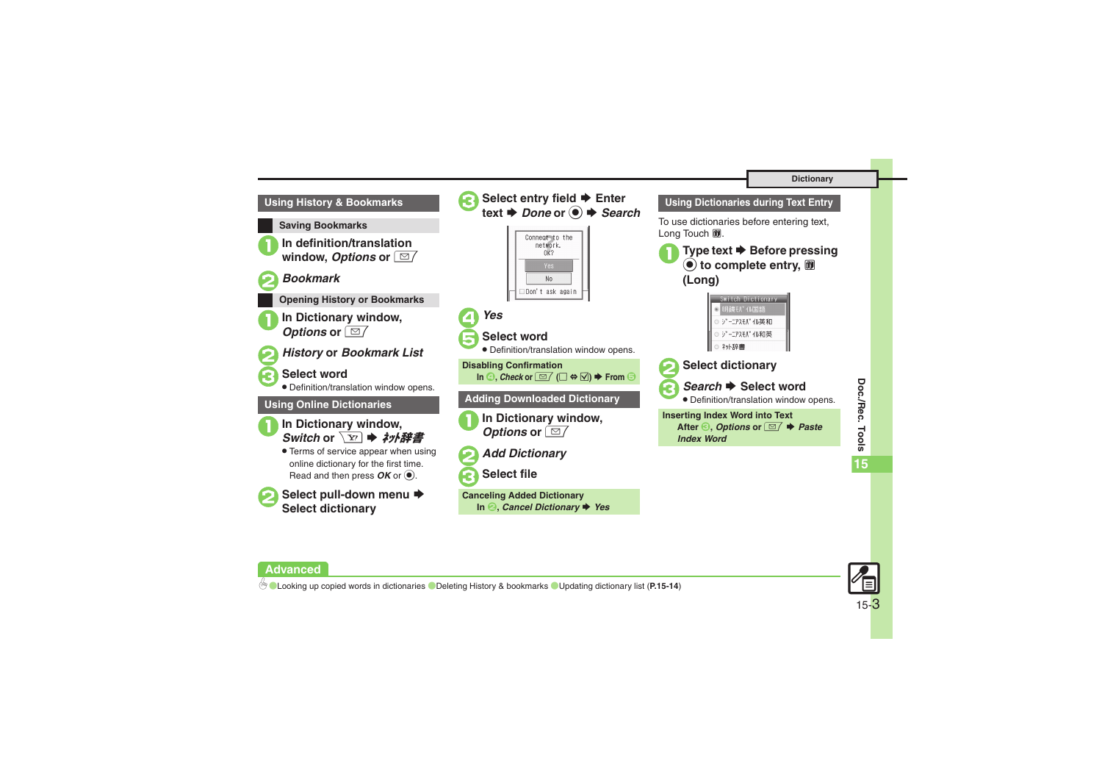#### **Dictionary**





**Doc./Rec. Tools**

Doc./Rec. Tools

**15**

#### **Advanced**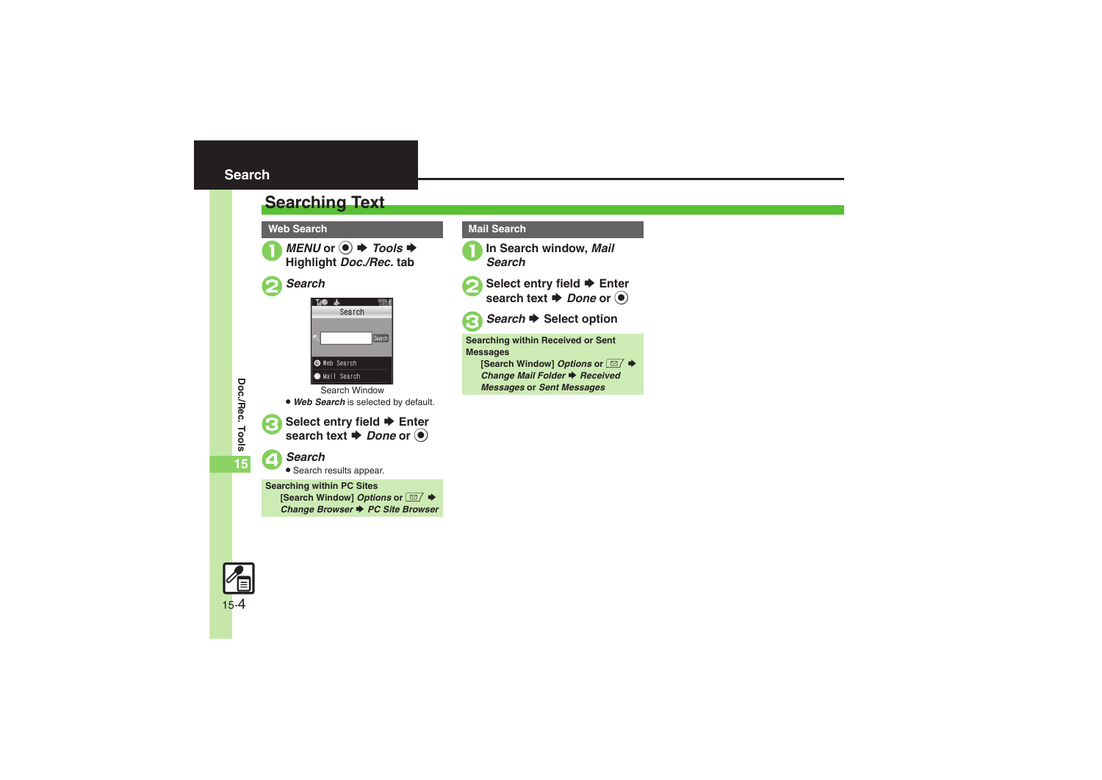## <span id="page-3-1"></span><span id="page-3-0"></span>**Searching Text**

**Web Search**



*MENU* or ● *Tools* $\blacktriangleright$  **Highlight** *Doc./Rec.* **tab** 





Search Window. *Web Search* is selected by default.



15-4

**Select entry field → Enter** search text  $\rightarrow$  *Done* or  $\odot$ 

4*Search* .

Search results appear.

**Searching within PC Sites [Search Window] Options or**  $\boxed{\textcircled{S}}$  **♦** *Change Browser ♦ PC Site Browser* 

#### **Mail Search**





**2** Select entry field **♦** Enter search text **♦** *Done* or ●



**Search → Select option** 

**Searching within Received or Sent Messages [Search Window] Options or**  $\boxed{\textcircled{S}}$  **♦** *Change Mail Folder* ♦ *Received Messages* **or** *Sent Messages*

Doc./Rec. Tools **Doc./Rec. Tools 15**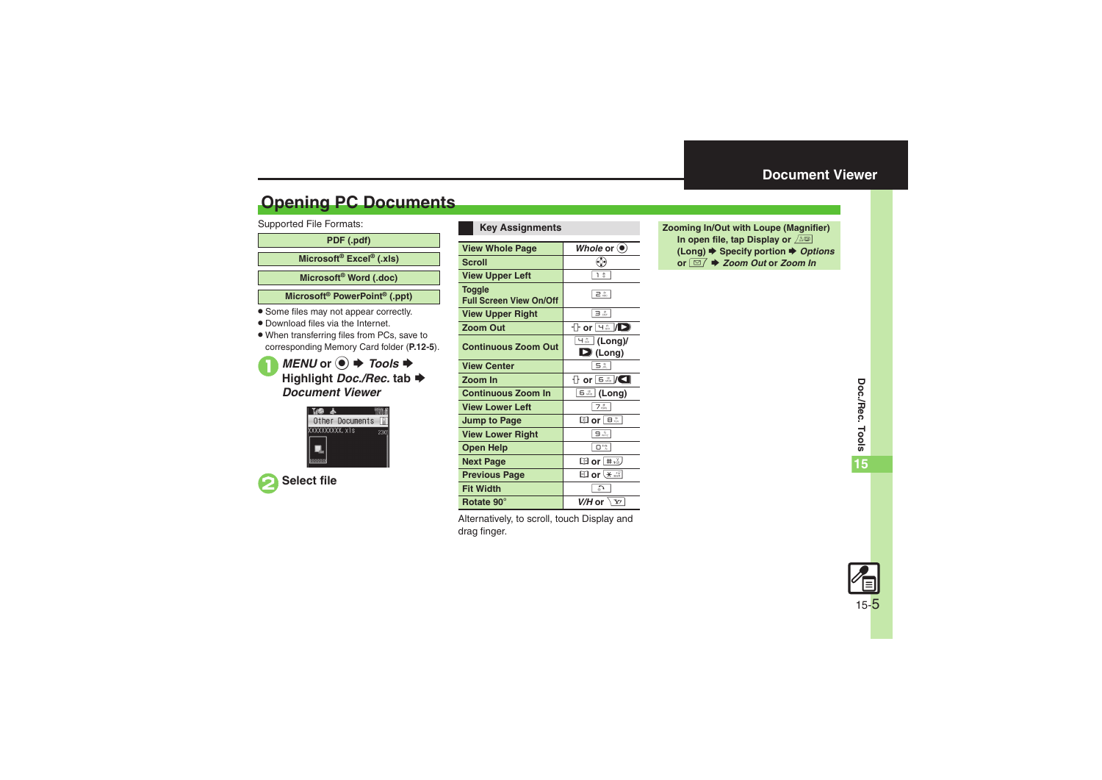## <span id="page-4-1"></span>**Opening PC Documents**

Supported File Formats:

**PDF (.pdf)**

**Microsoft® Excel® (.xls)**

**Microsoft® Word (.doc)**

**Microsoft® PowerPoint® (.ppt)**

- . Some files may not appear correctly.
- . Download files via the Internet.
- . When transferring files from PCs, save to corresponding Memory Card folder (**P.12-5**).

**1***MENU* or **●**  $\rightarrow$ *Tools* $\rightarrow$ **Highlight** *Doc./Rec.* **tab**  S*Document Viewer*





| <b>View Whole Page</b>                   | Whole or $\left(\bullet\right)$                    |
|------------------------------------------|----------------------------------------------------|
| Scroll                                   | ೕೃ                                                 |
| <b>View Upper Left</b>                   | 1 ∄                                                |
| Toggle<br><b>Full Screen View On/Off</b> | 2 <sup>b</sup>                                     |
| <b>View Upper Right</b>                  | в. Е                                               |
| <b>Zoom Out</b>                          | $\Gamma$ or $\overline{\mathcal{A}}$ /D            |
| <b>Continuous Zoom Out</b>               | <u> 님ౣ (Long)</u> /<br>$\mathbf{D}$ (Long)         |
| <b>View Center</b>                       | 5.3                                                |
| Zoom In                                  | $\frac{1}{11}$ or $\frac{1}{15}$ or $\frac{1}{10}$ |
| <b>Continuous Zoom In</b>                | 6 <sup>u</sup><br>(Long)                           |
| <b>View Lower Left</b>                   | 7. A                                               |
| Jump to Page                             | ⊠ or B                                             |
| <b>View Lower Right</b>                  | 9                                                  |
| <b>Open Help</b>                         | $\overline{\mathsf{D}}^{\, \mathrm{bs}}$           |
| <b>Next Page</b>                         | <b>⊡</b> or [ # ஃ <i>)</i>                         |
| <b>Previous Page</b>                     | ⊞ or (* ≝l                                         |
| <b>Fit Width</b>                         | c,                                                 |
| Rotate 90°                               | $V/H$ or $\dot{}$<br>Y'                            |

**Key Assignments**

Alternatively, to scroll, touch Display and drag finger.

<span id="page-4-0"></span>**Zooming In/Out with Loupe (Magnifier) In open file, tap Display or**  & **(Long)**  S **Specify portion**  S *Options* **or** BS *Zoom Out* **or** *Zoom In*

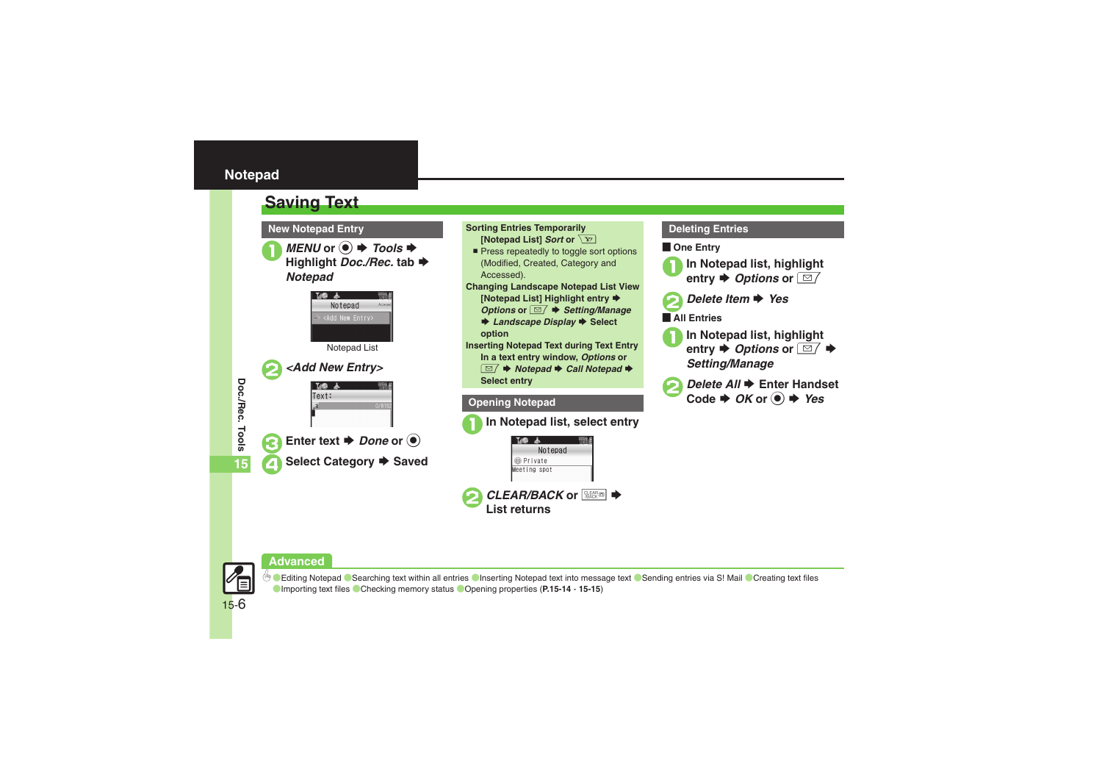#### <span id="page-5-0"></span>**Notepad**

<span id="page-5-1"></span>



*MENU* or ● *Tools* $\blacklozenge$  Highlight *Doc./Rec.* tab  $\blacklozenge$ *Notepad*









**D[Editing Notepad](#page-13-7) C[Searching text within all entries](#page-13-8) C[Inserting Notepad text into message text](#page-13-9) C[Sending entries via S!](#page-13-10) Mail C[Creating text files](#page-13-11)** ([Importing text files](#page-13-12) ([Checking memory status](#page-14-0) ([Opening properties](#page-14-1) (**[P.15-14](#page-13-7)** - **[15-15](#page-14-0)**)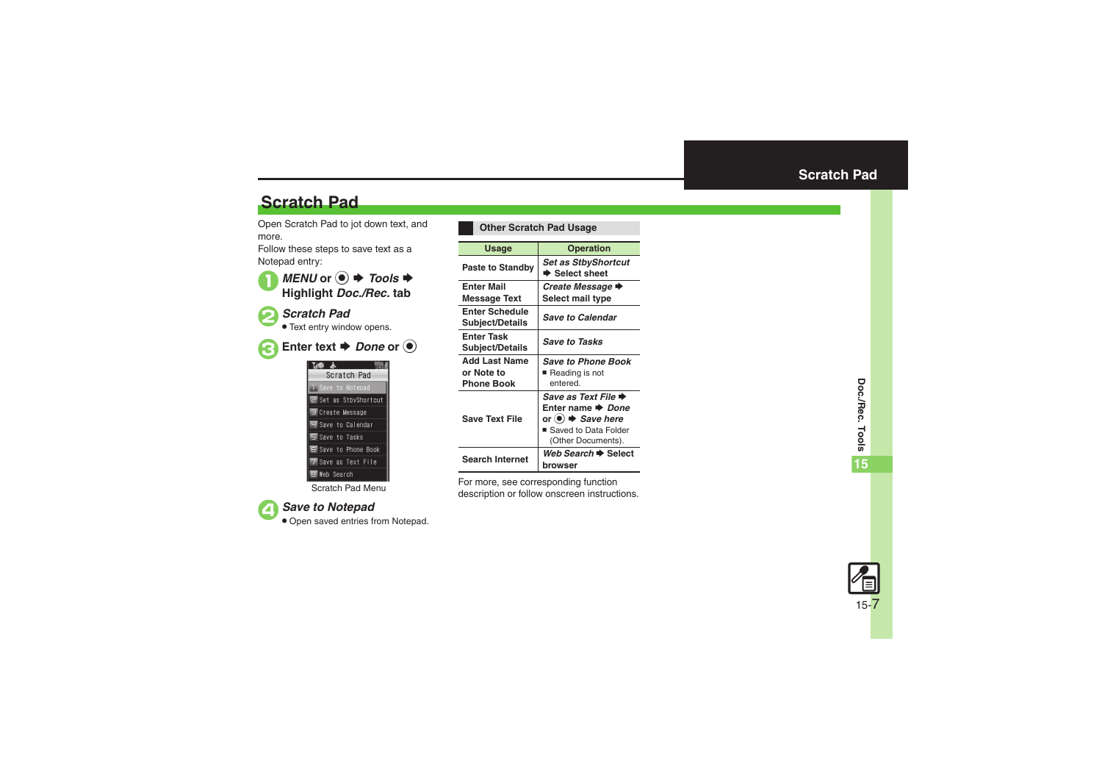## **Scratch Pad**

Open Scratch Pad to jot down text, and more.

Follow these steps to save text as a Notepad entry:





2*Scratch Pad*

**• Text entry window opens.** 



**Enter text**  $\rightarrow$ *Done* or  $\odot$ 

| 副 高                 |                              |
|---------------------|------------------------------|
|                     | Scratch Pad                  |
| 1 Save to Notepad   |                              |
|                     | <b>2</b> Set as StbyShortcut |
| Create Message      |                              |
| H Save to Calendar  |                              |
| 5 Save to Tasks     |                              |
|                     | <b>6</b> Saye to Phone Book  |
| 7 Save as Text File |                              |
| <b>B</b> Web Search |                              |

Scratch Pad Menu



#### 4*Save to Notepad*

. Open saved entries from Notepad.

<span id="page-6-0"></span>

| <b>Other Scratch Pad Usage</b>                          |                                                                                                                                           |
|---------------------------------------------------------|-------------------------------------------------------------------------------------------------------------------------------------------|
| Usage                                                   | <b>Operation</b>                                                                                                                          |
| <b>Paste to Standby</b>                                 | <b>Set as StbyShortcut</b><br>$\blacktriangleright$ Select sheet                                                                          |
| <b>Enter Mail</b><br><b>Message Text</b>                | Create Message →<br>Select mail type                                                                                                      |
| <b>Enter Schedule</b><br><b>Subject/Details</b>         | <b>Save to Calendar</b>                                                                                                                   |
| <b>Enter Task</b><br>Subject/Details                    | <b>Save to Tasks</b>                                                                                                                      |
| <b>Add Last Name</b><br>or Note to<br><b>Phone Book</b> | <b>Save to Phone Book</b><br>Reading is not<br>entered                                                                                    |
| <b>Save Text File</b>                                   | Save as Text File →<br>Enter name → Done<br>or (●) $\blacktriangleright$ <i>Save here</i><br>■ Saved to Data Folder<br>(Other Documents). |
| <b>Search Internet</b>                                  | <i>Web Search</i> → Select<br>browser                                                                                                     |

For more, see corresponding function description or follow onscreen instructions.

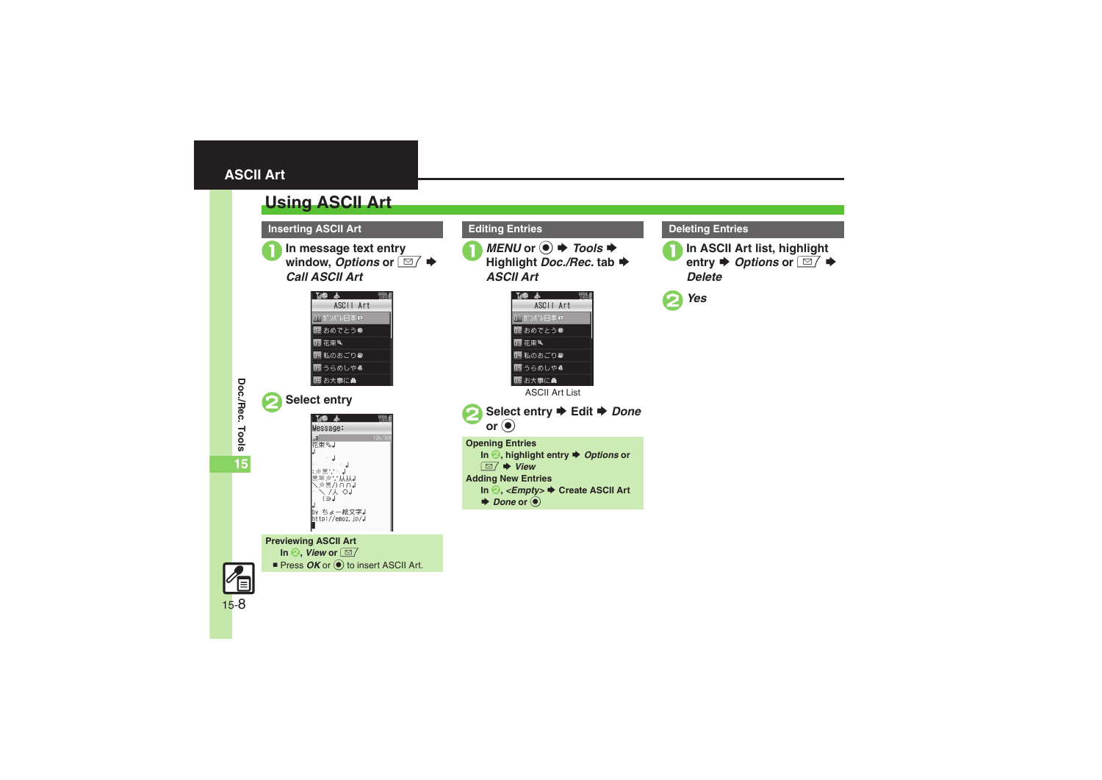#### <span id="page-7-0"></span>**ASCII Art**

<span id="page-7-1"></span>

15-8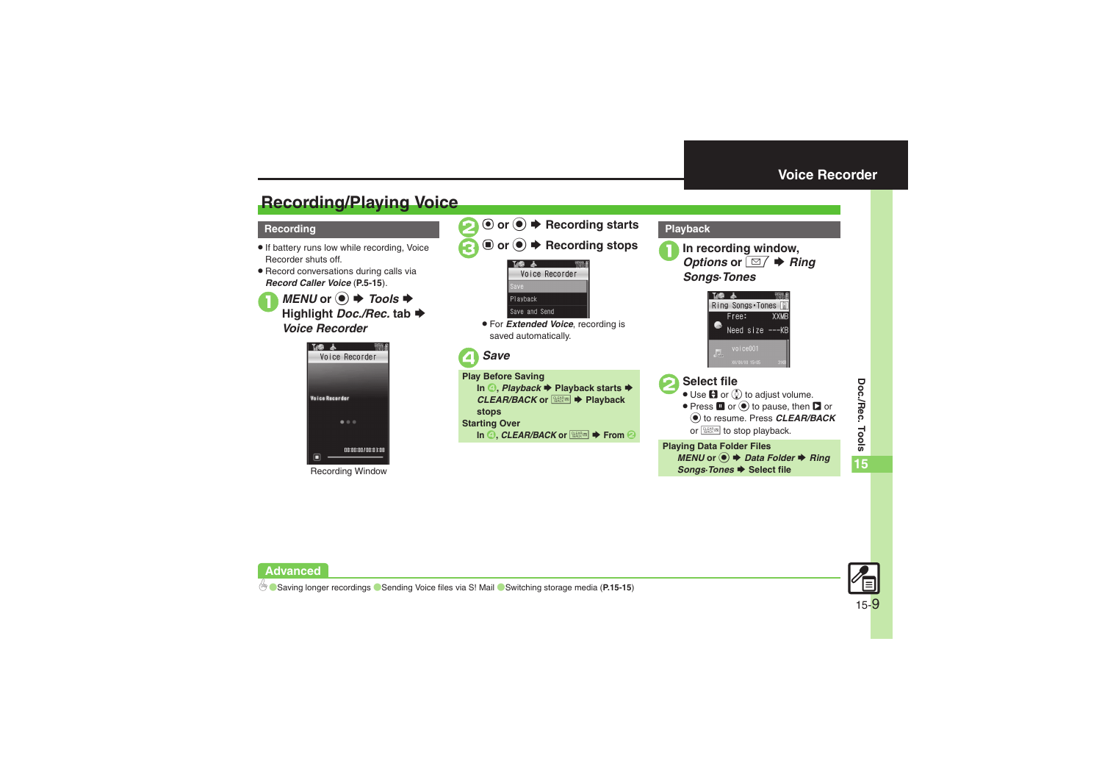#### **Voice Recorder**

## <span id="page-8-1"></span>**Recording/Playing Voice**

#### **Recording**

**Advanced**

- . If battery runs low while recording, Voice Recorder shuts off.
- . Record conversations during calls via *Record Caller Voice* (**P.5-15**).

*MENU* or ● **→** *Tools*  $\rightarrow$  **Highlight** *Doc./Rec.* **tab**  $\rightarrow$ *Voice Recorder*







. For *Extended Voice*, recording is saved automatically.



<span id="page-8-0"></span>

% to resume. Press *CLEAR/BACK* or **kom** to stop playback.

**Playing Data Folder Files** *MENU* or ● *Data Folder* **→** *Ring* **Songs**<sup>*D*</sup> *Select* file



0([Saving longer recordings](#page-14-2) ([Sending Voice files via S!](#page-14-3) Mail ([Switching storage media](#page-14-4) (**[P.15-15](#page-14-2)**)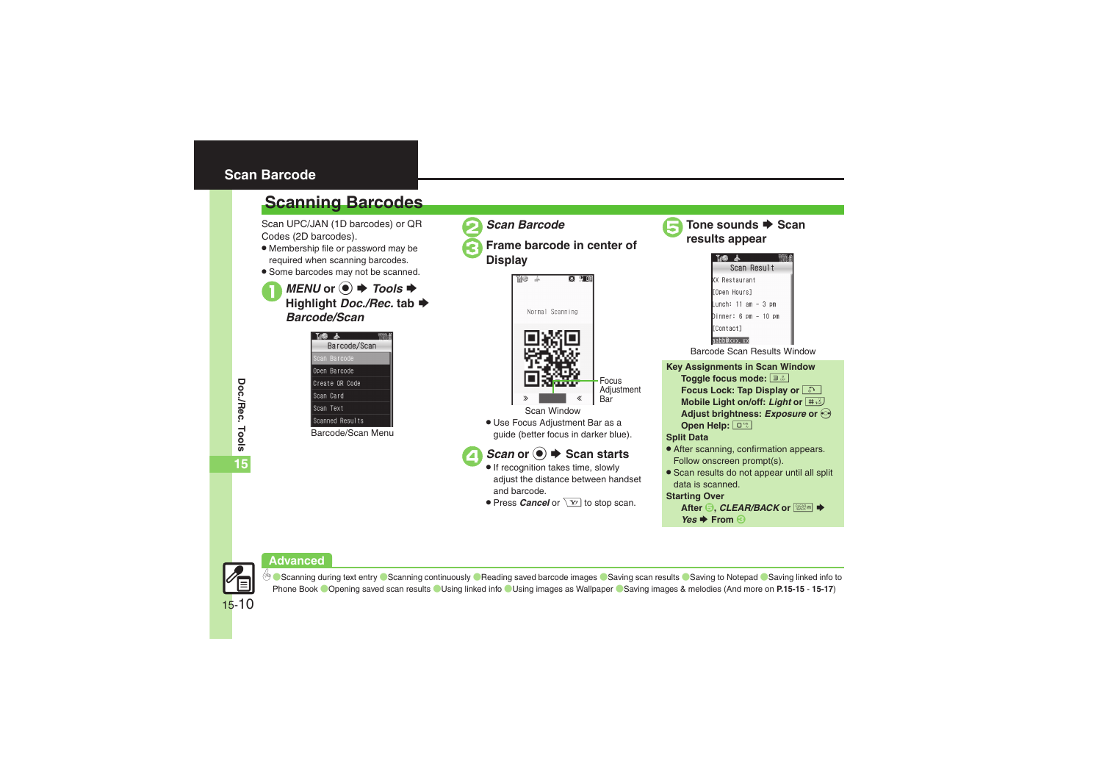#### <span id="page-9-0"></span>**Scan Barcode**

## **Scanning Barcodes**

Scan UPC/JAN (1D barcodes) or QR Codes (2D barcodes).

- . Membership file or password may be required when scanning barcodes.
- . Some barcodes may not be scanned.

*MENU* or ● **→** *Tools*  $\rightarrow$  Highlight *Doc./Rec.* tab  $\rightarrow$ *Barcode/Scan*

| THE &           |  |
|-----------------|--|
| Barcode/Scan    |  |
| Scan Barcode    |  |
| Open Barcode    |  |
| Create OR Code  |  |
| Scan Card       |  |
| Scan Text       |  |
| Scanned Results |  |
| $\sim$          |  |

Barcode/Scan Menu



2*Scan Barcode*

<sup>3</sup>**Frame barcode in center of Display**



- . Use Focus Adjustment Bar as a guide (better focus in darker blue).
- $\rightarrow$  *Scan starts* 
	- If recognition takes time, slowly adjust the distance between handset and barcode.
	- **Press** *Cancel* or  $\boxed{Y}$  to stop scan.



**Tone sounds → Scan results appear** 



*Yes* ➡ From **3** 





**Doc./Rec. Tools Tools 15**

Doc./Rec.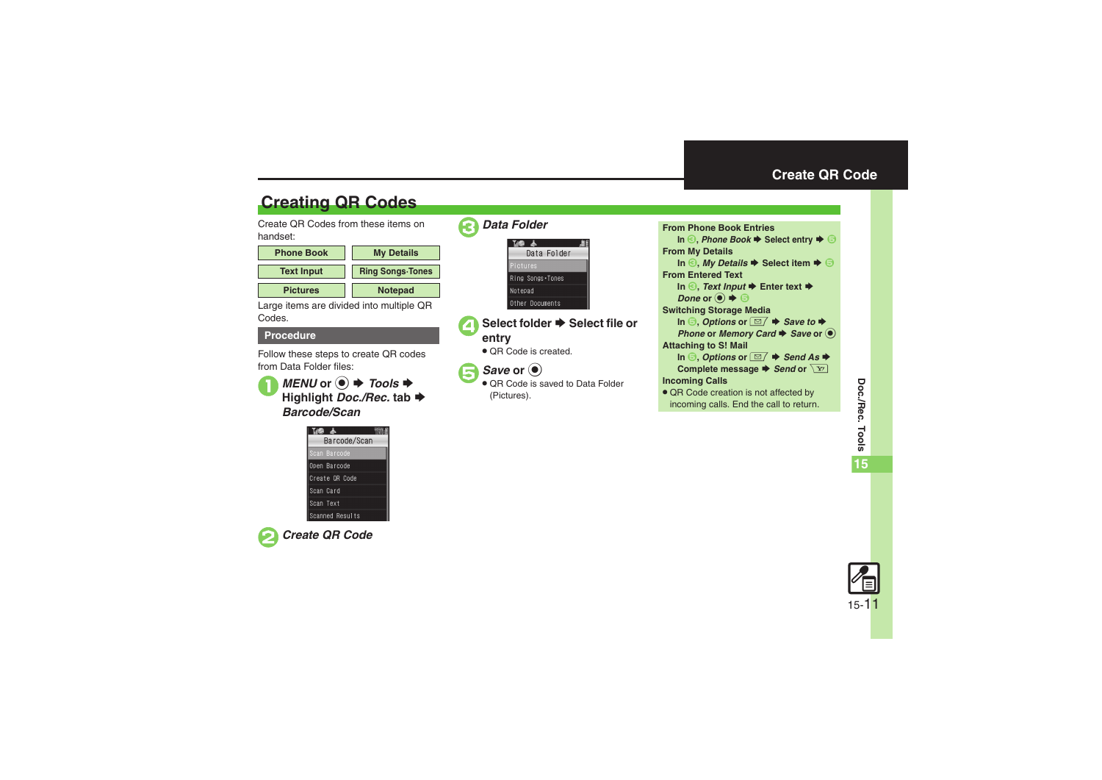## **Create QR Code**

## **Creating QR Codes**

Create QR Codes from these items on handset:

| <b>Phone Book</b> | <b>My Details</b>       |
|-------------------|-------------------------|
| <b>Text Input</b> | <b>Ring Songs Tones</b> |
| <b>Pictures</b>   | <b>Notepad</b>          |

Large items are divided into multiple QR Codes.

#### **Procedure**

Follow these steps to create QR codes from Data Folder files:

**1***MENU* or **●**  $\rightarrow$ *Tools* $\rightarrow$ **Highlight** *Doc./Rec.* **tab**  S *Barcode/Scan*

| Ing Y           |
|-----------------|
| Barcode/Scan    |
| Scan Barcode    |
| Open Barcode    |
| Create OR Code  |
| Scan Card       |
| Scan Text       |
| Scanned Results |



2*Create QR Code*

| Data Folder      |  |
|------------------|--|
|                  |  |
| Data Folder      |  |
| Pictures         |  |
| Ring Songs Tones |  |
| Notepad          |  |
| Other Documents  |  |

- ▲ Select folder **→** Select file or **entry**
	- . QR Code is created.

## **5** Save or  $\odot$

● QR Code is saved to Data Folder (Pictures).

<span id="page-10-0"></span>

| <b>From Phone Book Entries</b>                                                           |
|------------------------------------------------------------------------------------------|
| In $\odot$ , Phone Book $\blacktriangleright$ Select entry $\blacktriangleright$ $\odot$ |
| <b>From My Details</b>                                                                   |
| In $\odot$ , My Details $\blacktriangleright$ Select item $\blacktriangleright$ $\odot$  |
| <b>From Entered Text</b>                                                                 |
| In $\odot$ , Text Input $\blacktriangleright$ Enter text $\blacktriangleright$           |
| Done or $\left( \bullet \right) \bullet \oplus$                                          |
| <b>Switching Storage Media</b>                                                           |
| In $\Theta$ , Options or $\Box/\blacktriangleright$ Save to $\blacktriangleright$        |
| Phone or Memory Card $\blacktriangleright$ Save or $\blacklozenge$                       |
| <b>Attaching to S! Mail</b>                                                              |
| In $\Theta$ , Options or $\Box/\blacktriangleright$ Send As $\blacktriangleright$        |
| Complete message $\blacktriangleright$ Send or $\boxed{Y}$                               |
| <b>Incoming Calls</b>                                                                    |
| • QR Code creation is not affected by                                                    |
| incoming calls. End the call to return.                                                  |

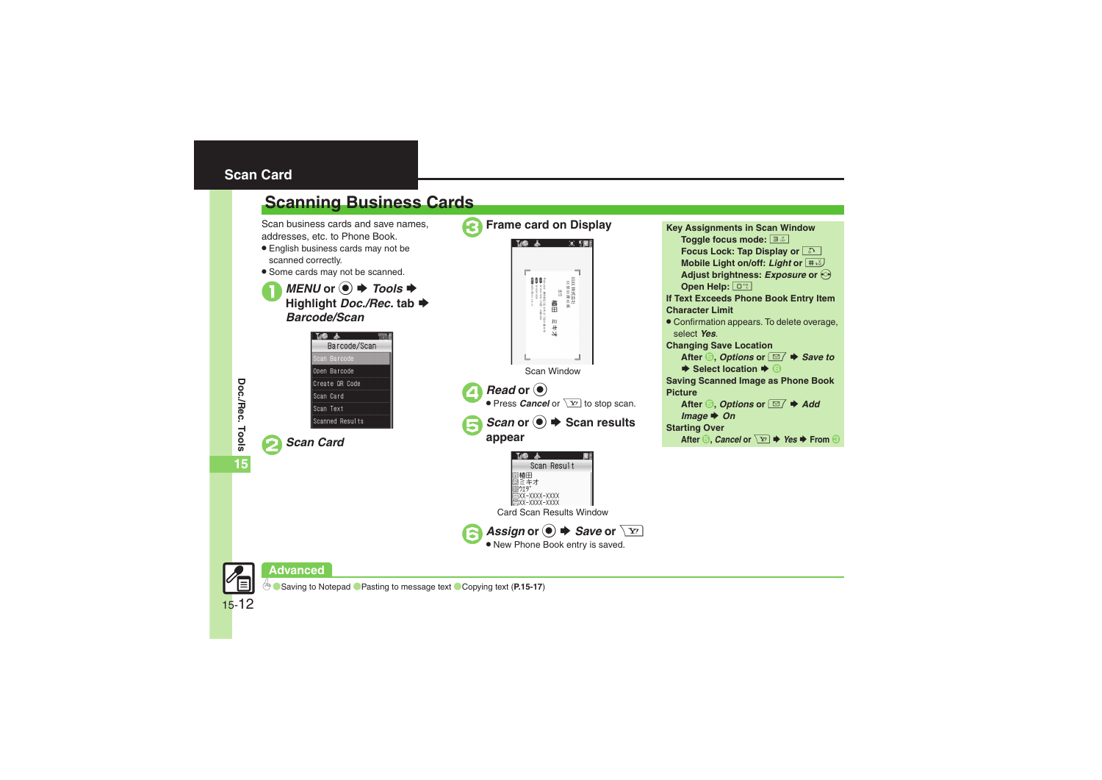## <span id="page-11-0"></span>**Scan Card**

<span id="page-11-1"></span>

Tools

15-12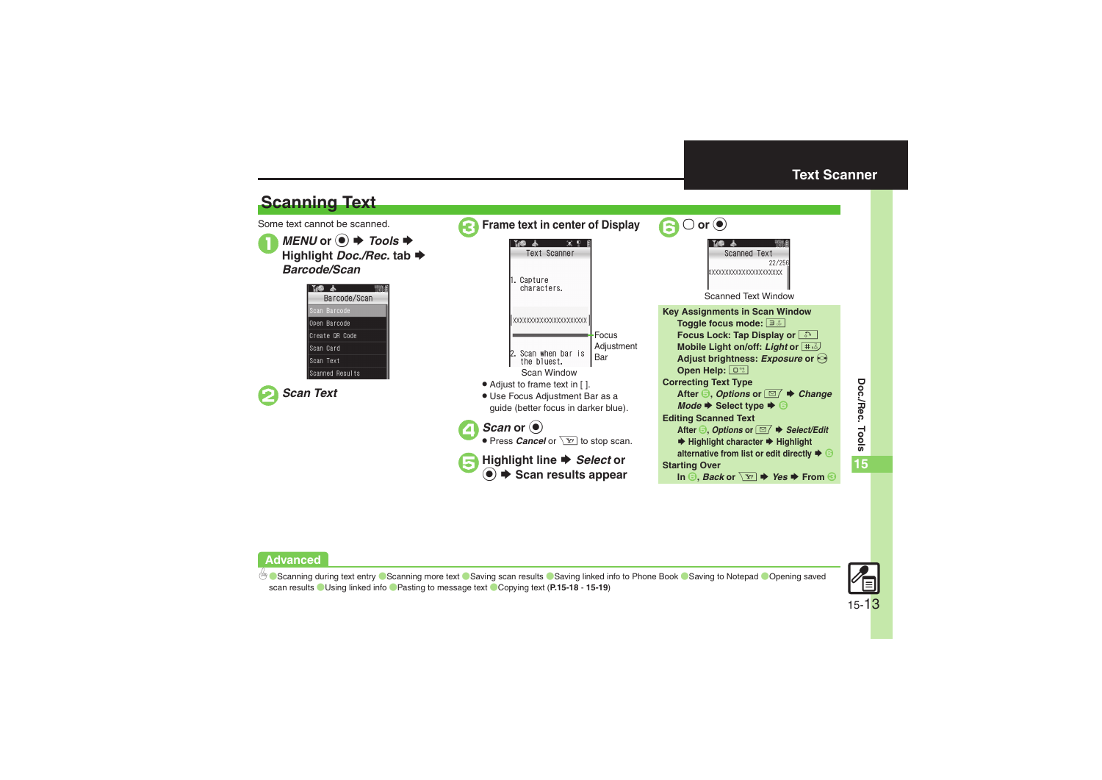<span id="page-12-1"></span>



b ■[Scanning during text entry](#page-17-0) ■[Scanning more text](#page-17-1) ■[Saving scan results](#page-17-2) ■[Saving linked info to Phone Book](#page-17-3) ■[Saving to Notepad](#page-17-4) ■Opening saved [scan results](#page-17-5) ([Using linked info](#page-17-6)  ([Pasting to message text](#page-18-0) ([Copying text](#page-18-1) (**[P.15-18](#page-17-0)** - **[15-19](#page-18-1)**)

<span id="page-12-0"></span>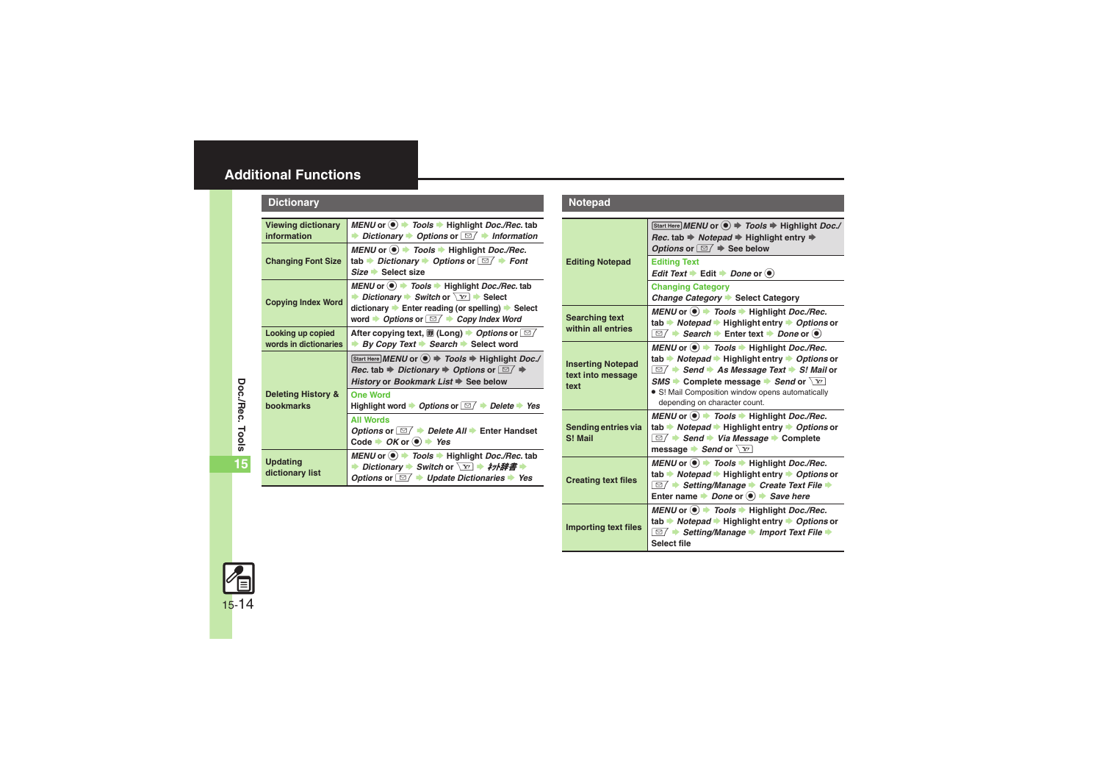## <span id="page-13-0"></span>**Additional Functions**

<span id="page-13-4"></span><span id="page-13-3"></span><span id="page-13-2"></span><span id="page-13-1"></span>

| <b>Dictionary</b>                                 |                                                                                                                                                                                                                                                                                                   |
|---------------------------------------------------|---------------------------------------------------------------------------------------------------------------------------------------------------------------------------------------------------------------------------------------------------------------------------------------------------|
| <b>Viewing dictionary</b><br>information          | MENU or $\circledast$ Tools $\bullet$ Highlight Doc./Rec. tab<br><b>▶ Dictionary ▶ Options or <math>\boxed{\simeq}</math> ▶ Information</b>                                                                                                                                                       |
| <b>Changing Font Size</b>                         | MENU or $\odot$ $\rightarrow$ Tools $\rightarrow$ Highlight Doc./Rec.<br>tab Dictionary $\rightarrow$ Options or $\boxed{\text{S}}$ $\rightarrow$ Font<br>Size Select size                                                                                                                        |
| <b>Copying Index Word</b>                         | MENU or $\textcircled{\textcircled{\textcirc}}$ Tools $\blacktriangleright$ Highlight Doc./Rec. tab<br><b>▶ Dictionary ▶ Switch or <math>\boxed{Y}</math> ▶ Select</b><br>dictionary ▶ Enter reading (or spelling) ▶ Select<br>word $\rightarrow$ Options or $\Box$ $\rightarrow$ Copy Index Word |
| Looking up copied<br>words in dictionaries        | After copying text, 10 (Long) → Options or $\boxed{\simeq}$<br>By Copy Text $\rightarrow$ Search $\rightarrow$ Select word                                                                                                                                                                        |
|                                                   | Start Here MENU or $\textcircled{\textcircled{\textcirc}} \Rightarrow$ Tools $\Rightarrow$ Highlight Doc./<br>Rec. tab $\Rightarrow$ Dictionary $\Rightarrow$ Options or $\Box$ $\Rightarrow$<br>History or Bookmark List → See below                                                             |
| <b>Deleting History &amp;</b><br><b>bookmarks</b> | <b>One Word</b><br>Highlight word $\rightarrow$ Options or $\boxed{\cong}$ $\rightarrow$ Delete $\rightarrow$ Yes                                                                                                                                                                                 |
|                                                   | <b>All Words</b><br>Options or $\Box / \rightarrow$ Delete All $\rightarrow$ Enter Handset<br>Code $\rightarrow$ OK or $\odot$ $\rightarrow$ Yes                                                                                                                                                  |
| <b>Updating</b><br>dictionary list                | MENU or $\bullet$ Tools $\bullet$ Highlight Doc./Rec. tab<br><b>▶ Dictionary ▶ Switch or <math>\boxed{Y}</math> ▶ 初權書 ▶</b><br>Options or $\Box$ $\rightarrow$ Update Dictionaries $\rightarrow$ Yes                                                                                              |

#### **Notepad**

<span id="page-13-12"></span><span id="page-13-11"></span><span id="page-13-10"></span><span id="page-13-9"></span><span id="page-13-8"></span><span id="page-13-7"></span>

| <b>Editing Notepad</b>                                | Start Here MENU or (.) → Tools → Highlight Doc./<br>Rec. tab $\Rightarrow$ Notepad $\Rightarrow$ Highlight entry $\Rightarrow$<br>Options or $\Box$ $\Rightarrow$ See below                                                                                                                                                                                                                                    |
|-------------------------------------------------------|----------------------------------------------------------------------------------------------------------------------------------------------------------------------------------------------------------------------------------------------------------------------------------------------------------------------------------------------------------------------------------------------------------------|
|                                                       | <b>Editing Text</b><br>Edit Text $\blacktriangleright$ Edit $\blacktriangleright$ Done or $\textcircled{\scriptsize{\bullet}}$                                                                                                                                                                                                                                                                                 |
|                                                       | <b>Changing Category</b><br>Change Category Select Category                                                                                                                                                                                                                                                                                                                                                    |
| <b>Searching text</b><br>within all entries           | MENU or $\textcircled{\textcircled{\textcirc}}$ $\textcircled{\textcircled{\textcirc}}$ Fools $\textcircled{\textcircled{\textcirc}}$ Highlight Doc./Rec.<br>tab → Notepad → Highlight entry → Options or<br>$\overline{\cong}/\Rightarrow$ Search $\Rightarrow$ Enter text $\Rightarrow$ Done or $\circledast$                                                                                                |
| <b>Inserting Notepad</b><br>text into message<br>text | MENU or $\textcircled{\tiny{\textcircled{\#}}}$ Tools $\textcircled{\tiny{\textcircled{\#}}}$ Highlight Doc./Rec.<br>tab Motepad Highlight entry Moptions or<br>$\Box / \bigtriangledown$ Send $\bigtriangledown$ As Message Text $\bigtriangledown$ S! Mail or<br>$\mathsf{SMS}$ Complete message Send or $\overline{Y}$<br>• S! Mail Composition window opens automatically<br>depending on character count. |
| Sending entries via<br>S! Mail                        | MENU or $\textcircled{\tiny{\textcircled{\#}}}$ Tools $\textcircled{\tiny{\textcircled{\#}}}$ Highlight Doc./Rec.<br>tab $\rightarrow$ Notepad $\rightarrow$ Highlight entry $\rightarrow$ Options or<br>$\overline{\text{ }\text{ }0}$ $\rightarrow$ Send $\rightarrow$ Via Message $\rightarrow$ Complete<br>message Send or $\boxed{Y}$                                                                     |
| <b>Creating text files</b>                            | MENU or $\bullet$ $\bullet$ Tools $\bullet$ Highlight Doc./Rec.<br>tab Motepad Highlight entry Moptions or<br>$\Box$ Setting/Manage Create Text File $\blacktriangleright$<br>Enter name $\rightarrow$ Done or $\odot$ $\rightarrow$ Save here                                                                                                                                                                 |
| <b>Importing text files</b>                           | MENU or $\textcircled{\tiny{\textcircled{\#}}}$ Tools $\textcircled{\tiny{\textcircled{\#}}}$ Highlight Doc./Rec.<br>tab $\rightarrow$ Notepad $\rightarrow$ Highlight entry $\rightarrow$ Options or<br>$\Box$ $\rightarrow$ Setting/Manage $\rightarrow$ Import Text File $\rightarrow$<br>Select file                                                                                                       |



<span id="page-13-6"></span><span id="page-13-5"></span>**15**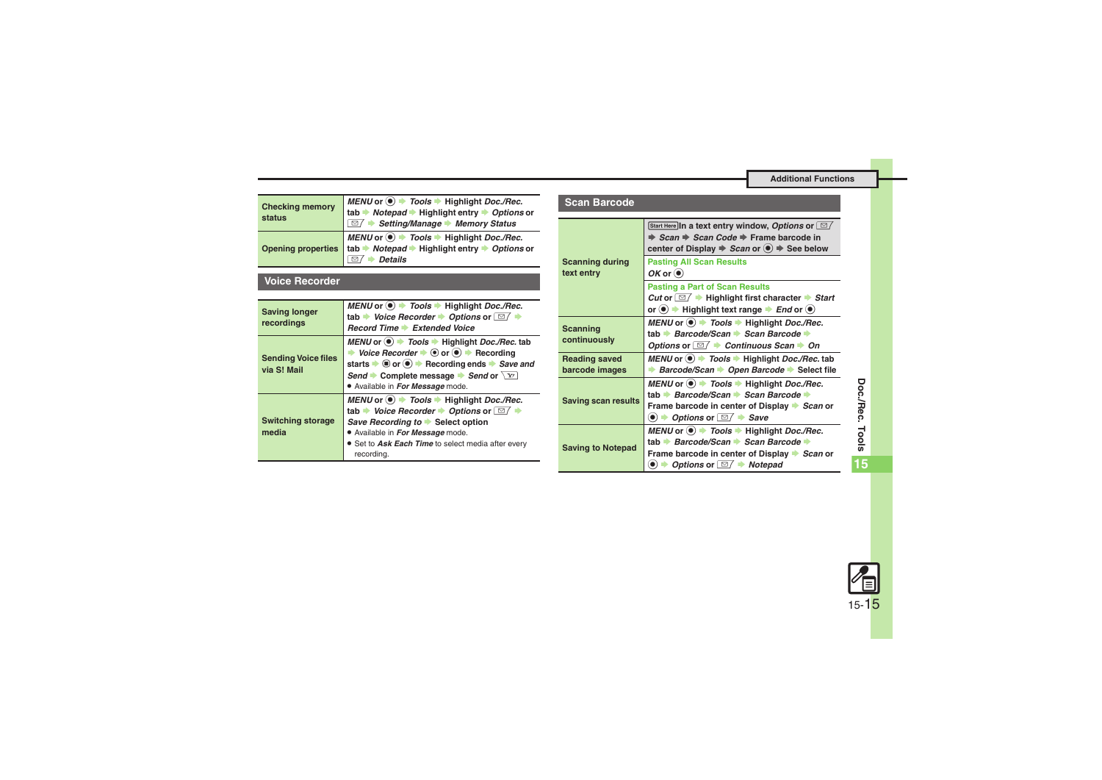۰

<span id="page-14-0"></span>

| <b>Checking memory</b> | MENU or $\odot$ $\blacktriangleright$ Tools $\blacktriangleright$ Highlight Doc./Rec.                                           |
|------------------------|---------------------------------------------------------------------------------------------------------------------------------|
| status                 | tab → Notepad → Highlight entry → Options or<br>$\Box$ → Setting/Manage → Memory Status                                         |
|                        | MENU or ● Tools → Highlight Doc./Rec.<br>Opening properties tab → Notepad → Highlight entry → Options or<br><b>Details</b><br>☑ |

#### <span id="page-14-1"></span>**Voice Recorder**

<span id="page-14-4"></span><span id="page-14-3"></span><span id="page-14-2"></span>

| <b>Saving longer</b><br>recordings        | MENU or $\textcircled{\textcircled{\textcirc}}$ Tools $\blacktriangleright$ Highlight Doc./Rec.<br>tab $\rightarrow$ Voice Recorder $\rightarrow$ Options or $\Box$ $\rightarrow$<br>Record Time Extended Voice                                                                                                                |  |
|-------------------------------------------|--------------------------------------------------------------------------------------------------------------------------------------------------------------------------------------------------------------------------------------------------------------------------------------------------------------------------------|--|
| <b>Sending Voice files</b><br>via S! Mail | MENU or $\odot$ $\rightarrow$ Tools $\rightarrow$ Highlight Doc./Rec. tab<br>Voice Recorder $\bullet$ $\odot$ or $\odot$ $\bullet$ Recording<br>starts $\bullet$ $\bullet$ or $\bullet$ $\bullet$ Recording ends $\bullet$ Save and<br>Send Complete message Send or $\boxed{Y}$<br>. Available in For Message mode.           |  |
| <b>Switching storage</b><br>media         | MENU or $\textcircled{\textcircled{\textcirc}}$ Tools $\blacktriangleright$ Highlight Doc./Rec.<br>tab $\rightarrow$ Voice Recorder $\rightarrow$ Options or $\Box$ $\rightarrow$<br>Save Recording to ▶ Select option<br>. Available in For Message mode.<br>• Set to Ask Each Time to select media after every<br>recording. |  |

<span id="page-14-9"></span><span id="page-14-8"></span><span id="page-14-7"></span><span id="page-14-6"></span><span id="page-14-5"></span>

| Scan Barcode                           |                                                                                                                                                                                                                       |
|----------------------------------------|-----------------------------------------------------------------------------------------------------------------------------------------------------------------------------------------------------------------------|
|                                        | Start Here In a text entry window, Options or $\square$<br>$\Rightarrow$ Scan $\Rightarrow$ Scan Code $\Rightarrow$ Frame barcode in<br>center of Display $\Rightarrow$ Scan or $\circledast$ $\Rightarrow$ See below |
| <b>Scanning during</b><br>text entry   | <b>Pasting All Scan Results</b><br>$OK$ or $\odot$                                                                                                                                                                    |
|                                        | <b>Pasting a Part of Scan Results</b><br><i>Cut</i> or $\Box$ $\rightarrow$ Highlight first character $\rightarrow$ Start<br>or $\odot$ $\rightarrow$ Highlight text range $\rightarrow$ End or $\odot$               |
| <b>Scanning</b><br>continuously        | MENU or $\bullet$ > Tools $\bullet$ Highlight Doc./Rec.<br>tab → Barcode/Scan → Scan Barcode →<br>Options or $\Box / \rightarrow$ Continuous Scan $\rightarrow$ On                                                    |
| <b>Reading saved</b><br>barcode images | MENU or $\circledast$ Tools $\bullet$ Highlight Doc./Rec. tab<br>Barcode/Scan Dpen Barcode Select file                                                                                                                |
| <b>Saving scan results</b>             | MENU or (.) > Tools → Highlight Doc./Rec.<br>tab → Barcode/Scan → Scan Barcode →<br>Frame barcode in center of Display ▶ Scan or<br>$\bullet$ $\rightarrow$ Options or $\Box$ $\rightarrow$ Save                      |
| <b>Saving to Notepad</b>               | MENU or ● 700ls → Highlight Doc./Rec.<br>tab → Barcode/Scan → Scan Barcode →<br>Frame barcode in center of Display Scan or<br>$\bullet$ $\rightarrow$ Options or $\Box$ $\rightarrow$ Notepad                         |

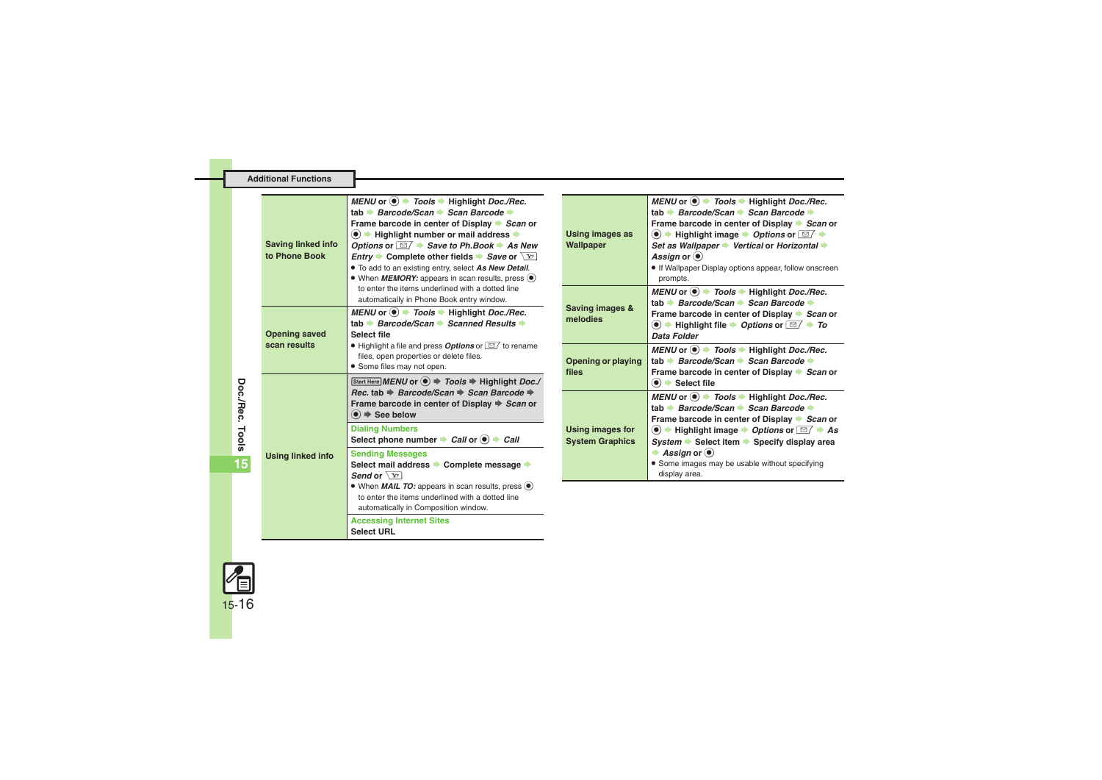<span id="page-15-3"></span><span id="page-15-0"></span>

|  | Additional Functions                       |                                                                                                                                                                                                                                                                                                                                                                                                                                                                                                                      |                                                   |                                                                                                                                                                                                                                                                                                                                                                                  |
|--|--------------------------------------------|----------------------------------------------------------------------------------------------------------------------------------------------------------------------------------------------------------------------------------------------------------------------------------------------------------------------------------------------------------------------------------------------------------------------------------------------------------------------------------------------------------------------|---------------------------------------------------|----------------------------------------------------------------------------------------------------------------------------------------------------------------------------------------------------------------------------------------------------------------------------------------------------------------------------------------------------------------------------------|
|  | <b>Saving linked info</b><br>to Phone Book | MENU or $\odot$ > Tools > Highlight Doc./Rec.<br>tab → Barcode/Scan → Scan Barcode →<br>Frame barcode in center of Display Scan or<br>$\left( \bullet \right)$ $\Rightarrow$ Highlight number or mail address $\Rightarrow$<br>Options or $\boxed{\cong}$ $\blacktriangleright$ Save to Ph.Book $\blacktriangleright$ As New<br><i>Entry</i> Complete other fields Save or $\boxed{Y}$<br>. To add to an existing entry, select As New Detail.<br>• When <i>MEMORY:</i> appears in scan results, press ( $\bullet$ ) | <b>Using images as</b><br>Wallpaper               | MENU or $\odot$ > Tools $\Rightarrow$ Highlight Doc./Rec.<br>tab Barcode/Scan Scan Barcode<br>Frame barcode in center of Display Scan or<br>$\bullet$ $\bullet$ Highlight image $\bullet$ Options or $\Box$ $\bullet$<br>Set as Wallpaper → Vertical or Horizontal →<br>Assign or $\left( \bullet \right)$<br>. If Wallpaper Display options appear, follow onscreen<br>prompts. |
|  | <b>Opening saved</b>                       | to enter the items underlined with a dotted line<br>automatically in Phone Book entry window.<br>MENU or $\textcircled{\textcircled{\textcirc}}$ $\textcircled{\textcircled{\textcirc}}$ Fools $\textcircled{\textcirc}$ Highlight Doc./Rec.<br>tab → Barcode/Scan → Scanned Results →<br>Select file                                                                                                                                                                                                                | Saving images &<br>melodies                       | MENU or $\textcircled{\textcircled{\textcirc}}$ Tools $\textcircled{\textcircled{\textcirc}}$ Highlight Doc./Rec.<br>tab Barcode/Scan → Scan Barcode →<br>Frame barcode in center of Display Scan or<br>$\bullet$ $\bullet$ Highlight file $\bullet$ Options or $\boxed{\cong}$ $\bullet$ To<br>Data Folder                                                                      |
|  | scan results                               | $\bullet$ Highlight a file and press <b>Options</b> or $\boxed{\simeq}$ to rename<br>files, open properties or delete files.<br>• Some files may not open.<br>Start Here MENU or $\textcircled{\textcircled{\textcirc}} \Rightarrow$ Tools $\Rightarrow$ Highlight Doc./                                                                                                                                                                                                                                             | Opening or playing<br>files                       | MENU or $\textcircled{\textcircled{\textcirc}}$ Tools $\blacktriangleright$ Highlight Doc./Rec.<br>tab Barcode/Scan → Scan Barcode →<br>Frame barcode in center of Display Scan or                                                                                                                                                                                               |
|  | <b>Using linked info</b>                   | Rec. tab $\Rightarrow$ Barcode/Scan $\Rightarrow$ Scan Barcode $\Rightarrow$<br>Frame barcode in center of Display → Scan or<br>$\bullet$ $\bullet$ See below<br><b>Dialing Numbers</b>                                                                                                                                                                                                                                                                                                                              | <b>Using images for</b><br><b>System Graphics</b> | $\odot$ $\blacktriangleright$ Select file<br>MENU or $\textcircled{\textcircled{\textcirc}}$ Tools $\blacktriangleright$ Highlight Doc./Rec.<br>tab Barcode/Scan → Scan Barcode →<br>Frame barcode in center of Display → Scan or<br>$\bullet$ + Highlight image $\bullet$ Options or $\Box / \bullet$ As                                                                        |
|  |                                            | Select phone number $\Rightarrow$ Call or $\bullet$ $\Rightarrow$ Call<br><b>Sending Messages</b><br>Select mail address → Complete message →<br>Send or $\sqrt{Y}$                                                                                                                                                                                                                                                                                                                                                  |                                                   | System $\blacktriangleright$ Select item $\blacktriangleright$ Specify display area<br>Assign or $\left( \bullet \right)$<br>• Some images may be usable without specifying<br>display area.                                                                                                                                                                                     |
|  |                                            | • When <i>MAIL TO:</i> appears in scan results, press $\odot$<br>to enter the items underlined with a dotted line<br>automatically in Composition window.<br><b>Accessing Internet Sites</b><br><b>Select URL</b>                                                                                                                                                                                                                                                                                                    |                                                   |                                                                                                                                                                                                                                                                                                                                                                                  |
|  |                                            |                                                                                                                                                                                                                                                                                                                                                                                                                                                                                                                      |                                                   |                                                                                                                                                                                                                                                                                                                                                                                  |

<span id="page-15-4"></span><span id="page-15-1"></span>**Doc./Rec. Tools**

<span id="page-15-2"></span>**15**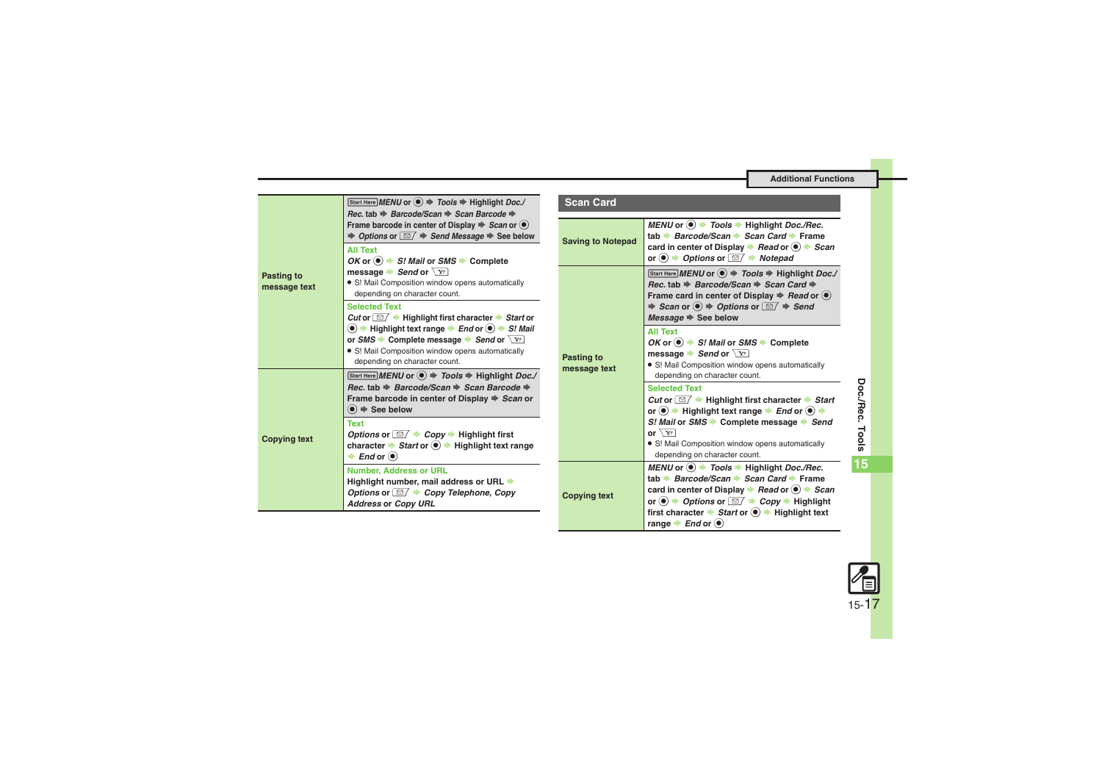#### <span id="page-16-2"></span><span id="page-16-1"></span>**Additional Functions**

<span id="page-16-0"></span>

|                            | Start Here MENU or ● → Tools → Highlight Doc./<br>Rec. tab $\Rightarrow$ Barcode/Scan $\Rightarrow$ Scan Barcode $\Rightarrow$                                                                                                                                                                                      | <b>Scan Card</b>           |                                                                                                                                                                                                                                                                                                                                                                                                                                       |
|----------------------------|---------------------------------------------------------------------------------------------------------------------------------------------------------------------------------------------------------------------------------------------------------------------------------------------------------------------|----------------------------|---------------------------------------------------------------------------------------------------------------------------------------------------------------------------------------------------------------------------------------------------------------------------------------------------------------------------------------------------------------------------------------------------------------------------------------|
|                            | Frame barcode in center of Display $\Rightarrow$ Scan or $\circledbullet$<br>$\Rightarrow$ Options or $\boxed{\simeq}$ $\Rightarrow$ Send Message $\Rightarrow$ See below<br><b>All Text</b><br>OK or $\odot$ $\rightarrow$ S! Mail or SMS $\rightarrow$ Complete                                                   | <b>Saving to Notepad</b>   | MENU or ● 700ls → Highlight Doc./Rec.<br>tab Barcode/Scan Scan Card Frame<br>card in center of Display $\rightarrow$ Read or $\left( \bullet \right) \rightarrow$ Scan<br>or $\bullet$ $\bullet$ Options or $\Box$ $\bullet$ Notepad                                                                                                                                                                                                  |
| Pasting to<br>message text | message Send or $\boxed{Y}$<br>• S! Mail Composition window opens automatically<br>depending on character count.<br><b>Selected Text</b><br>Cut or $\Box$ $\rightarrow$ Highlight first character $\rightarrow$ Start or                                                                                            |                            | Start Here MENU or ● → Tools → Highlight Doc./<br>Rec. tab $\Rightarrow$ Barcode/Scan $\Rightarrow$ Scan Card $\Rightarrow$<br>Frame card in center of Display $\Rightarrow$ Read or $\circledbullet$<br>$\Rightarrow$ Scan or $\circledcirc$ $\Rightarrow$ Options or $\Box$ $\Rightarrow$ Send<br>Message $\Rightarrow$ See below                                                                                                   |
|                            | $\textcircled{\textbullet}$ $\textcircled{\textbullet}$ Highlight text range $\textcircled{\textbullet}$ End or $\textcircled{\textbullet}$ $\textcircled{\textbullet}$ S! Mail<br>or SMS Complete message Send or $\boxed{Y}$<br>• S! Mail Composition window opens automatically<br>depending on character count. | Pasting to<br>message text | <b>All Text</b><br>OK or $\odot$ $\rightarrow$ S! Mail or SMS $\rightarrow$ Complete<br>message Send or $\boxed{Y}$<br>• S! Mail Composition window opens automatically                                                                                                                                                                                                                                                               |
| <b>Copying text</b>        | Start Here MENU or $\textcircled{\textcircled{\textcirc}} \Rightarrow$ Tools $\Rightarrow$ Highlight Doc./<br>Rec. tab $\Rightarrow$ Barcode/Scan $\Rightarrow$ Scan Barcode $\Rightarrow$<br>Frame barcode in center of Display → Scan or<br>$\left( \bullet \right) \Rightarrow$ See below                        |                            | depending on character count.<br><b>Selected Text</b><br><i>Cut</i> or $\Box$ <b>Highlight first character</b> Start<br>or $\bullet$ $\bullet$ Highlight text range $\bullet$ End or $\bullet$ $\bullet$                                                                                                                                                                                                                              |
|                            | <b>Text</b><br>Options or $\Box / \rightarrow Copy \rightarrow$ Highlight first<br>character $\rightarrow$ Start or $\odot$ $\rightarrow$ Highlight text range<br>$\Rightarrow$ End or $\circledcirc$                                                                                                               |                            | S! Mail or SMS → Complete message → Send<br>or $\sqrt{x}$<br>· S! Mail Composition window opens automatically<br>depending on character count.                                                                                                                                                                                                                                                                                        |
|                            | <b>Number, Address or URL</b><br>Highlight number, mail address or URL<br>Options or $\Box$ $\rightarrow$ Copy Telephone, Copy<br><b>Address or Copy URL</b>                                                                                                                                                        | <b>Copying text</b>        | MENU or $\odot$ $\rightarrow$ Tools $\rightarrow$ Highlight Doc./Rec.<br>tab → Barcode/Scan → Scan Card → Frame<br>card in center of Display $\rightarrow$ Read or $\odot$ $\rightarrow$ Scan<br>or $\bullet$ $\rightarrow$ Options or $\boxed{\cong}$ $\rightarrow$ Copy $\rightarrow$ Highlight<br>first character $\rightarrow$ Start or $\odot$ $\rightarrow$ Highlight text<br>range $\blacktriangleright$ <i>End</i> or $\odot$ |

<span id="page-16-3"></span>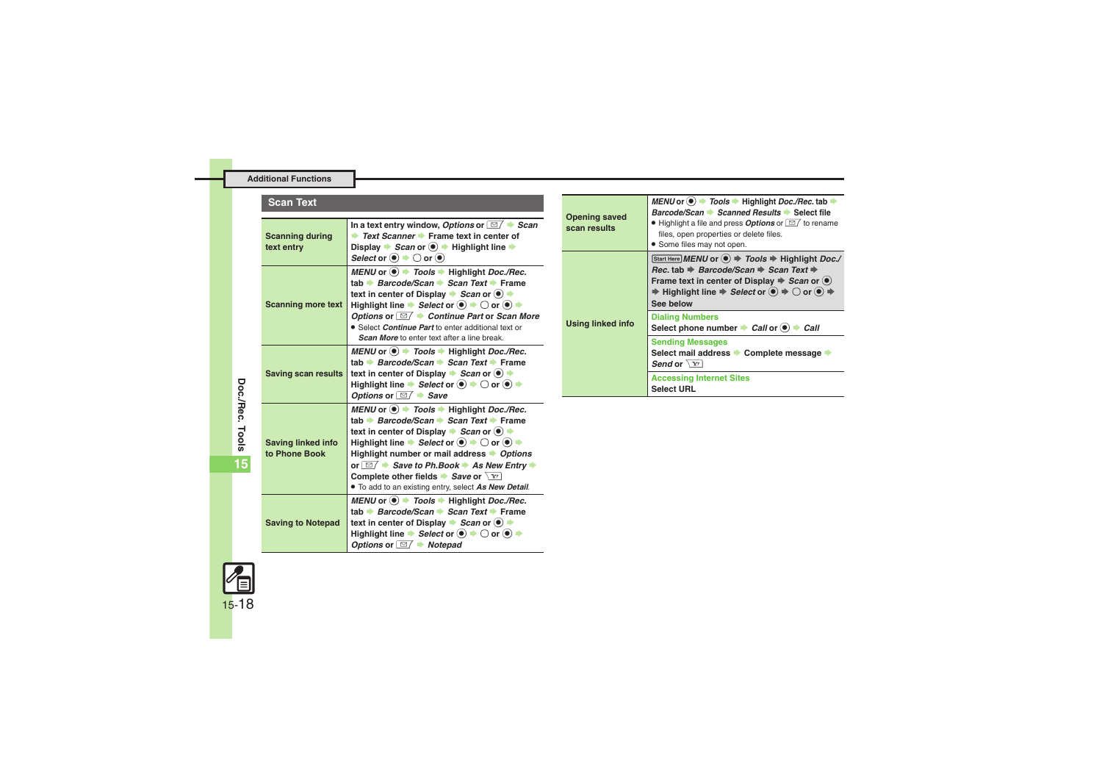#### **Additional Functions**

#### **Scan Text**

<span id="page-17-2"></span><span id="page-17-1"></span><span id="page-17-0"></span>

| <b>Scanning during</b><br>text entry       | In a text entry window, Options or $\Box$ $\rightarrow$ Scan<br>Text Scanner Frame text in center of<br>Display $\rightarrow$ Scan or $\left( \bullet \right) \rightarrow$ Highlight line $\rightarrow$<br>Select or $\odot$ $\rightarrow$ $\bigcirc$ or $\odot$                                                                                                                                                                                                                                                                                                                                                                                                 |
|--------------------------------------------|------------------------------------------------------------------------------------------------------------------------------------------------------------------------------------------------------------------------------------------------------------------------------------------------------------------------------------------------------------------------------------------------------------------------------------------------------------------------------------------------------------------------------------------------------------------------------------------------------------------------------------------------------------------|
| <b>Scanning more text</b>                  | MENU or $\textcircled{\textcircled{\textcirc}}$ $\textcircled{\textcircled{\textcirc}}$ $\textcircled{\textcircled{\textcirc}}$ Highlight Doc./Rec.<br>tab → Barcode/Scan → Scan Text → Frame<br>text in center of Display $\blacktriangleright$ Scan or $\blacklozenge$ $\blacktriangleright$<br>Highlight line $\blacktriangleright$ Select or $(\bullet) \blacktriangleright \bigcirc$ or $(\bullet) \blacktriangleright$                                                                                                                                                                                                                                     |
|                                            | Options or $\boxed{\cong}$ $\blacktriangleright$ Continue Part or Scan More<br>• Select Continue Part to enter additional text or<br><b>Scan More</b> to enter text after a line break.                                                                                                                                                                                                                                                                                                                                                                                                                                                                          |
| <b>Saving scan results</b>                 | MENU or $\odot$ $\rightarrow$ Tools $\rightarrow$ Highlight Doc./Rec.<br>tab → Barcode/Scan → Scan Text → Frame<br>text in center of Display $\rightarrow$ Scan or $\left(\bullet\right)$ $\rightarrow$<br>Highlight line $\Rightarrow$ Select or $\left( \bullet\right) \Rightarrow$ O or $\left( \bullet\right) \Rightarrow$<br>Options or $\Box$ Save                                                                                                                                                                                                                                                                                                         |
| <b>Saving linked info</b><br>to Phone Book | MENU or $\textcircled{\textcircled{\textcirc}}$ $\textcircled{\textcircled{\textcirc}}$ Fools $\textcircled{\textcirc}$ Highlight Doc./Rec.<br>tab → Barcode/Scan → Scan Text → Frame<br>text in center of Display $\rightarrow$ Scan or $\left(\bullet\right)$ $\rightarrow$<br>Highlight line $\Rightarrow$ Select or $\left( \bullet\right) \Rightarrow$ O or $\left( \bullet\right) \Rightarrow$<br>Highlight number or mail address > Options<br>or $\Box$ $\rightarrow$ Save to Ph.Book $\rightarrow$ As New Entry $\rightarrow$<br>Complete other fields $\blacktriangleright$ Save or $\sqrt{Y}$<br>• To add to an existing entry, select As New Detail. |
| <b>Saving to Notepad</b>                   | MENU or $\textcircled{\textcircled{\textcirc}}$ $\textcircled{\textcircled{\textcirc}}$ Fools $\textcircled{\textcircled{\textcirc}}$ Highlight Doc./Rec.<br>tab → Barcode/Scan → Scan Text → Frame<br>text in center of Display $\rightarrow$ Scan or $\left(\bullet\right)$ $\rightarrow$<br>Highlight line $\Rightarrow$ Select or $\circledcirc$ $\Rightarrow$ $\bigcirc$ or $\circledcirc$ $\Rightarrow$<br>Options or $\Box$ Notepad                                                                                                                                                                                                                       |

<span id="page-17-6"></span><span id="page-17-5"></span>

| <b>Opening saved</b><br>scan results | MENU or $\bullet$ $\bullet$ Tools $\bullet$ Highlight Doc./Rec. tab $\bullet$<br>Barcode/Scan Scanned Results Select file<br>• Highlight a file and press <b>Options</b> or $\boxed{\simeq}$ to rename<br>files, open properties or delete files.<br>• Some files may not open.                                                                      |
|--------------------------------------|------------------------------------------------------------------------------------------------------------------------------------------------------------------------------------------------------------------------------------------------------------------------------------------------------------------------------------------------------|
| Using linked info                    | Start Here MENU or (●) → Tools → Highlight Doc./<br>Rec. tab $\Rightarrow$ Barcode/Scan $\Rightarrow$ Scan Text $\Rightarrow$<br>Frame text in center of Display $\Rightarrow$ Scan or $\circledbullet$<br>$\Rightarrow$ Highlight line $\Rightarrow$ Select or $\circledcirc$ $\Rightarrow$ $\bigcirc$ or $\circledcirc$ $\Rightarrow$<br>See below |
|                                      | <b>Dialing Numbers</b><br>Select phone number $\rightarrow$ Call or $\left(\bullet\right) \rightarrow$ Call                                                                                                                                                                                                                                          |
|                                      | <b>Sending Messages</b><br>Select mail address Complete message<br>Send or $\sqrt{Y}$                                                                                                                                                                                                                                                                |
|                                      | <b>Accessing Internet Sites</b><br><b>Select URL</b>                                                                                                                                                                                                                                                                                                 |

<span id="page-17-4"></span><span id="page-17-3"></span>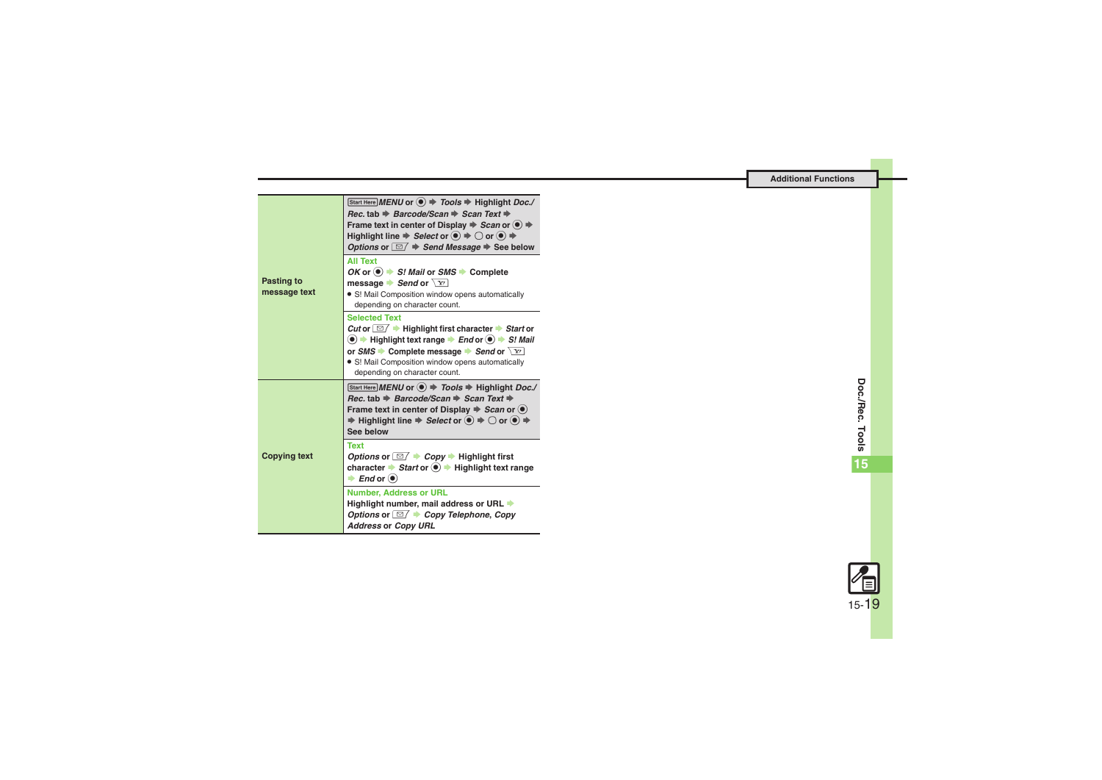<span id="page-18-1"></span><span id="page-18-0"></span>

| Pasting to<br>message text | Start Here MENU or $\left( \bullet \right)$ $\Rightarrow$ Tools $\Rightarrow$ Highlight Doc./<br>Rec. tab $\Rightarrow$ Barcode/Scan $\Rightarrow$ Scan Text $\Rightarrow$<br>Frame text in center of Display $\Rightarrow$ Scan or $\circledcirc$ $\Rightarrow$<br>Highlight line $\Rightarrow$ Select or $\circledcirc \Rightarrow \bigcirc$ or $\circledcirc \Rightarrow$<br>Options or $\Box$ $\Rightarrow$ Send Message $\Rightarrow$ See below |
|----------------------------|------------------------------------------------------------------------------------------------------------------------------------------------------------------------------------------------------------------------------------------------------------------------------------------------------------------------------------------------------------------------------------------------------------------------------------------------------|
|                            | <b>All Text</b><br>OK or $\left( \bullet \right)$ $\Rightarrow$ S! Mail or SMS $\Rightarrow$ Complete<br>message $\blacktriangleright$ Send or $\sqrt{Y}$<br>• S! Mail Composition window opens automatically<br>depending on character count.                                                                                                                                                                                                       |
|                            | <b>Selected Text</b><br>Cut or $\boxed{\simeq}$ $\blacktriangleright$ Highlight first character $\blacktriangleright$ Start or<br>$\textcircled{\textbullet}$ $\Rightarrow$ Highlight text range $\Rightarrow$ End or $\textcircled{\textbullet}$ $\Rightarrow$ S! Mail<br>or SMS Complete message Send or $\boxed{Y}$<br>· S! Mail Composition window opens automatically<br>depending on character count.                                          |
| <b>Copying text</b>        | Start Here MENU or $\left( \bullet \right)$ $\Rightarrow$ Tools $\Rightarrow$ Highlight Doc./<br>Rec. tab $\Rightarrow$ Barcode/Scan $\Rightarrow$ Scan Text $\Rightarrow$<br>Frame text in center of Display $\Rightarrow$ Scan or $\circledbullet$<br>$\Rightarrow$ Highlight line $\Rightarrow$ Select or $\circledcirc$ $\Rightarrow$ $\bigcirc$ or $\circledcirc$ $\Rightarrow$<br>See below                                                    |
|                            | Text<br>Options or $\Box$ $\rightarrow$ Copy $\rightarrow$ Highlight first<br>character $\rightarrow$ Start or $\odot$ $\rightarrow$ Highlight text range<br>$\rightarrow$ End or $\odot$                                                                                                                                                                                                                                                            |
|                            | <b>Number, Address or URL</b><br>Highlight number, mail address or URL +<br>Options or $\boxed{\boxtimes}$ $\rightarrow$ Copy Telephone, Copy<br><b>Address or Copy URL</b>                                                                                                                                                                                                                                                                          |